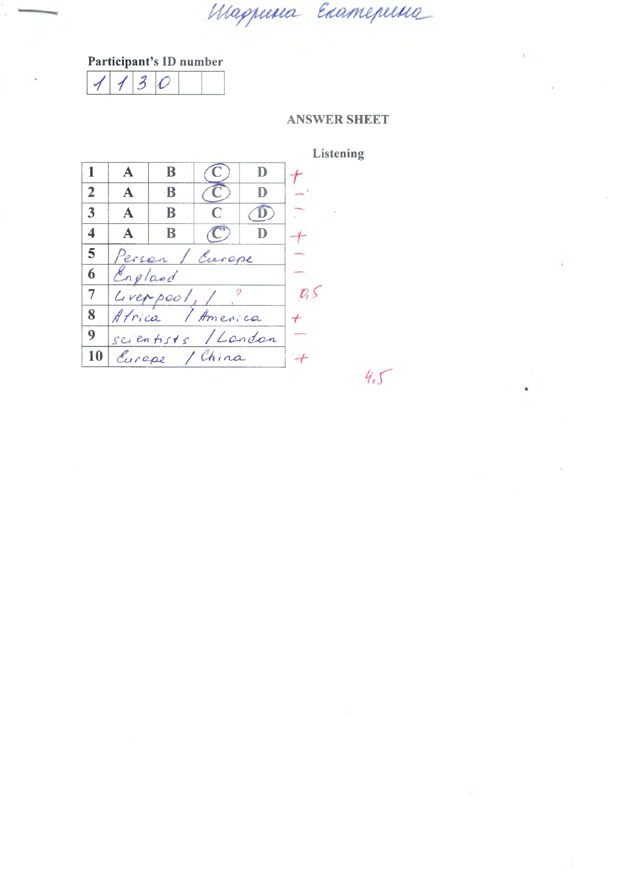Маршиа Екатерина

# Participant's ID number

 $\overline{\mathcal{Z}}$  $\overline{\mathcal{O}}$  $\overline{\mathcal{A}}$  $\overline{\mathcal{A}}$ 

### **ANSWER SHEET**

 $45$ 

 $\lambda$  .

J.

 $\sim$ à.

|                         |             |                     |               |   | <b>Listening</b> |
|-------------------------|-------------|---------------------|---------------|---|------------------|
|                         | A           | B                   |               | D |                  |
| $\overline{2}$          | $\mathbf A$ | B                   |               |   |                  |
| 3                       | A           | B                   |               |   |                  |
| $\overline{\mathbf{4}}$ | A           | B                   |               |   |                  |
| 5                       |             | Person / Europe     |               |   |                  |
| 6                       | England     |                     |               |   |                  |
| $\overline{7}$          |             |                     | Cveppool, / ? |   |                  |
| 8                       |             | Africa / America    |               |   |                  |
| 9                       |             | scientists / Landon |               |   |                  |
| 10                      |             | Cureps / China      |               |   |                  |
|                         |             |                     |               |   |                  |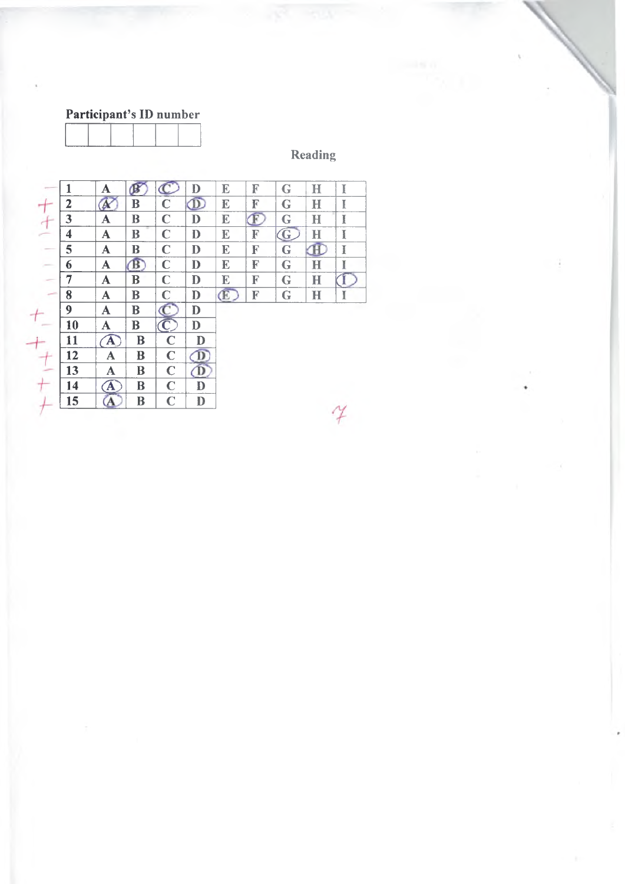# Reading

|                                                                                                                                                                                                                                                                                                                                                                                                                                                                            | 1              | A            | $\mathbf{B}$            |                         | $\mathbf D$           | E           | F | G                       | н            | I |
|----------------------------------------------------------------------------------------------------------------------------------------------------------------------------------------------------------------------------------------------------------------------------------------------------------------------------------------------------------------------------------------------------------------------------------------------------------------------------|----------------|--------------|-------------------------|-------------------------|-----------------------|-------------|---|-------------------------|--------------|---|
|                                                                                                                                                                                                                                                                                                                                                                                                                                                                            | $\overline{2}$ | b.           | B                       | $\mathbf C$             | $\overline{\text{D}}$ | E           | F | G                       | H            | T |
|                                                                                                                                                                                                                                                                                                                                                                                                                                                                            | 3              | $\mathbf A$  | B                       | $\mathbf C$             | $\mathbf D$           | E           | F | $\mathbf G$             | H            | I |
|                                                                                                                                                                                                                                                                                                                                                                                                                                                                            | 4              | $\mathbf A$  | B                       | $\mathbf C$             | D                     | E           | F | $\overline{\textbf{G}}$ | H            | I |
|                                                                                                                                                                                                                                                                                                                                                                                                                                                                            | 5              | A            | B                       | $\mathbf C$             | D                     | E           | F | G                       | $\mathbf{E}$ | I |
| $\frac{1}{2} \left( \frac{1}{2} \right) \left( \frac{1}{2} \right) \left( \frac{1}{2} \right) \left( \frac{1}{2} \right) \left( \frac{1}{2} \right) \left( \frac{1}{2} \right) \left( \frac{1}{2} \right) \left( \frac{1}{2} \right) \left( \frac{1}{2} \right) \left( \frac{1}{2} \right) \left( \frac{1}{2} \right) \left( \frac{1}{2} \right) \left( \frac{1}{2} \right) \left( \frac{1}{2} \right) \left( \frac{1}{2} \right) \left( \frac{1}{2} \right) \left( \frac$ | 6              | A            | ß                       | $\mathbf C$             | $\mathbf{D}$          | E           | F | G                       | $\bf H$      | I |
|                                                                                                                                                                                                                                                                                                                                                                                                                                                                            | 7              | A            | B                       | $\mathbf C$             | D                     | E           | F | G                       | $\bf H$      |   |
| س                                                                                                                                                                                                                                                                                                                                                                                                                                                                          | 8              | $\mathbf A$  | B                       | $\mathbf C$             | D                     | $\mathbf E$ | F | $\bf G$                 | $\bf H$      | I |
|                                                                                                                                                                                                                                                                                                                                                                                                                                                                            | 9              | $\mathbf A$  | B                       |                         | D                     |             |   |                         |              |   |
|                                                                                                                                                                                                                                                                                                                                                                                                                                                                            | 10             | A            | B                       | $\overline{\mathbf{C}}$ | D                     |             |   |                         |              |   |
|                                                                                                                                                                                                                                                                                                                                                                                                                                                                            | 11             | $\mathbf{A}$ | B                       | $\mathbf C$             | D                     |             |   |                         |              |   |
|                                                                                                                                                                                                                                                                                                                                                                                                                                                                            | 12             | A            | B                       | $\mathbf C$             | $\mathbf{D}$          |             |   |                         |              |   |
|                                                                                                                                                                                                                                                                                                                                                                                                                                                                            | 13             | A            | B                       | $\mathbf C$             | D                     |             |   |                         |              |   |
|                                                                                                                                                                                                                                                                                                                                                                                                                                                                            | 14             | $\mathbf A$  | $\overline{\mathbf{B}}$ | $\mathbf C$             | D                     |             |   |                         |              |   |
|                                                                                                                                                                                                                                                                                                                                                                                                                                                                            | 15             | A            | B                       | $\mathbf C$             | $\mathbf{D}$          |             |   |                         |              |   |
|                                                                                                                                                                                                                                                                                                                                                                                                                                                                            |                |              |                         |                         |                       |             |   |                         |              |   |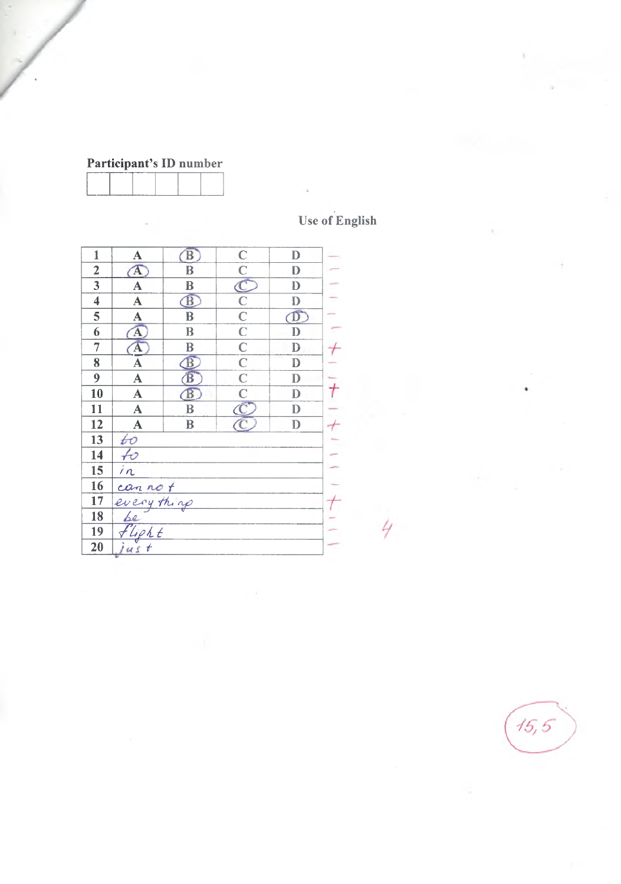| Participant's ID number |  |
|-------------------------|--|
|-------------------------|--|

| <b>Use of English</b> |  |
|-----------------------|--|

4

| $\mathbf{1}$            | $\mathbf A$             | $\mathbf{B}$            | $\mathbb{C}$                       | $\mathbf{D}$            |  |
|-------------------------|-------------------------|-------------------------|------------------------------------|-------------------------|--|
| $\overline{2}$          | $\Lambda$               | B                       | $\overline{\overline{\mathbf{C}}}$ | D                       |  |
| $\overline{3}$          | A                       | B                       | $\bar{\mathbb{C}}$                 | D                       |  |
| $\overline{\mathbf{4}}$ | $\mathbf A$             | $\mathbf{\widehat{B}}$  | $\mathbb{C}$                       | D                       |  |
| 5                       | $\overline{\mathbf{A}}$ | $\overline{\mathbf{B}}$ | $\overline{\mathbf{C}}$            | $\overline{\mathbb{D}}$ |  |
| 6                       | $\overline{\mathbf{A}}$ | B                       | $\overline{\mathbf{C}}$            | D                       |  |
| $\overline{7}$          | Ά                       | B                       | $\overline{\mathbf{C}}$            | D                       |  |
| 8                       | A                       | $\mathbf{B}$            | $\overline{\overline{\textbf{C}}}$ | $\mathbf{D}$            |  |
| 9                       | $\overline{\mathbf{A}}$ | B                       | $\overline{C}$                     | D                       |  |
| 10                      | $\overline{\mathbf{A}}$ | $\mathbf{B}$            | $\overline{\mathbf{C}}$            | D                       |  |
| 11                      | $\overline{\mathbf{A}}$ | $\bf{B}$                | $\bar{\mathfrak{C}}$               | D                       |  |
| 12                      | $\overline{\mathbf{A}}$ | $\bf{B}$                | C.                                 | D                       |  |
| 13                      | ŧО                      |                         |                                    |                         |  |
| 14                      | $\nleftrightarrow$      |                         |                                    |                         |  |
| 15                      | $\overline{m}$          |                         |                                    |                         |  |
| 16                      |                         |                         |                                    |                         |  |
| 17                      | can not                 |                         |                                    |                         |  |
| 18                      | be                      |                         |                                    |                         |  |
| 19                      | lipht                   |                         |                                    |                         |  |
| 20                      | jus<br>$\overline{t}$   |                         |                                    |                         |  |

 $15,5$ 

×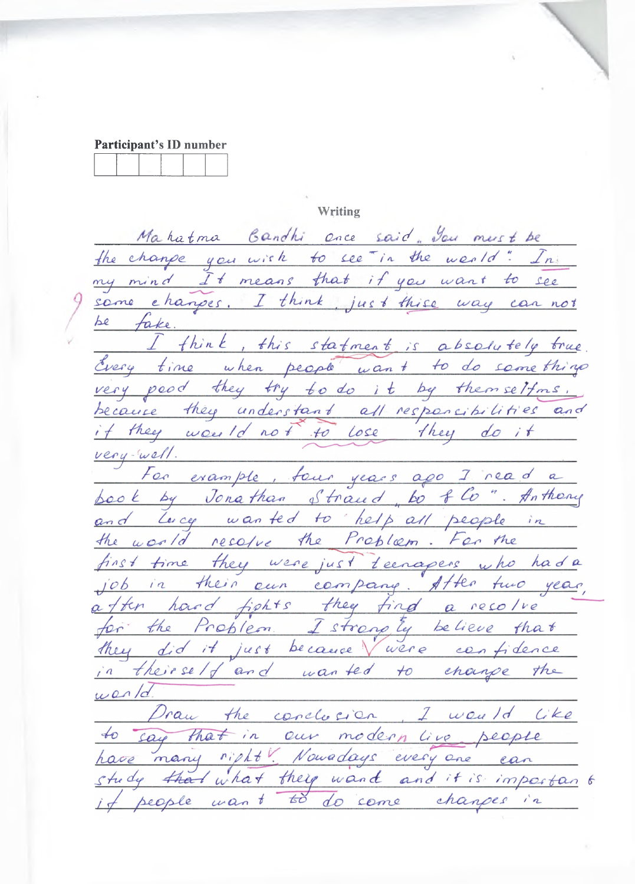**Writing** 

Mahatma Bandhi once said. You must be the change you wish to see "in the world" In my mind It means that if you want to see some changes. I think, just thise way can not fake. I think, this statment is absolutely true Every time when people want to do something very pood they try to do it by themselfms. because they understant all responsibilities and if they were Id not to lose they do it very-well. For example, four years ago I read a book by Jonathan Straud, bo flo". Anthony and Lucy wanted to help all people in the world resolve the Problem. For the first time they were just teenapers who had a job in their own company. After two year, after hand fights they find a resolve for the Problem Istrongly believe that<br>they did it just because Vivere confidence in theirself and wanted to change the  $w$ en/d Praw the conclusion, I want like to say that in our modern live people have many right! Nowadays every one can study that what they wand and it is important people want to do some changes in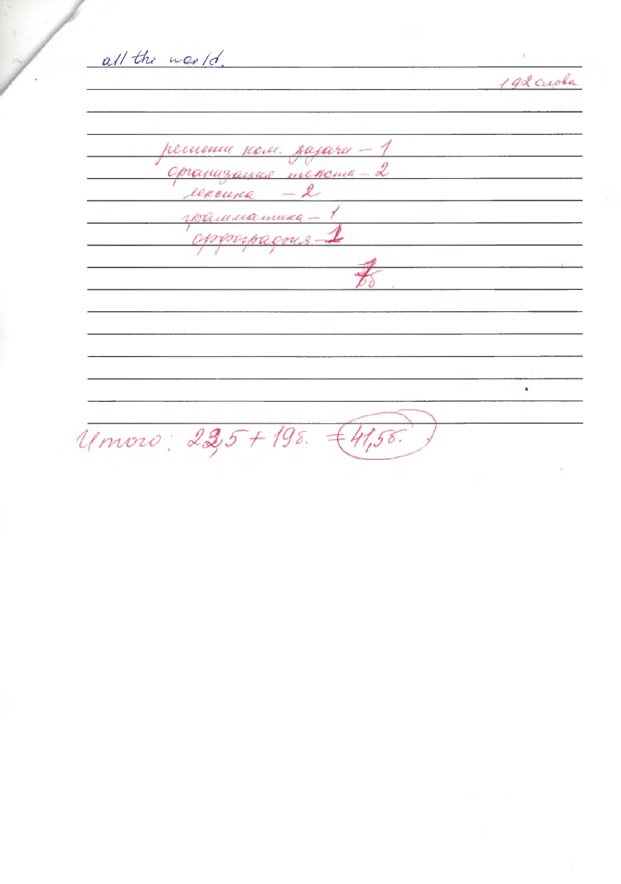all the world.

192 acoba

решение усоле. зазачи - 1 2 us mekema opranus renewna млатика. sporta om.  $\bullet$ Umoro: 225+195. €41,55.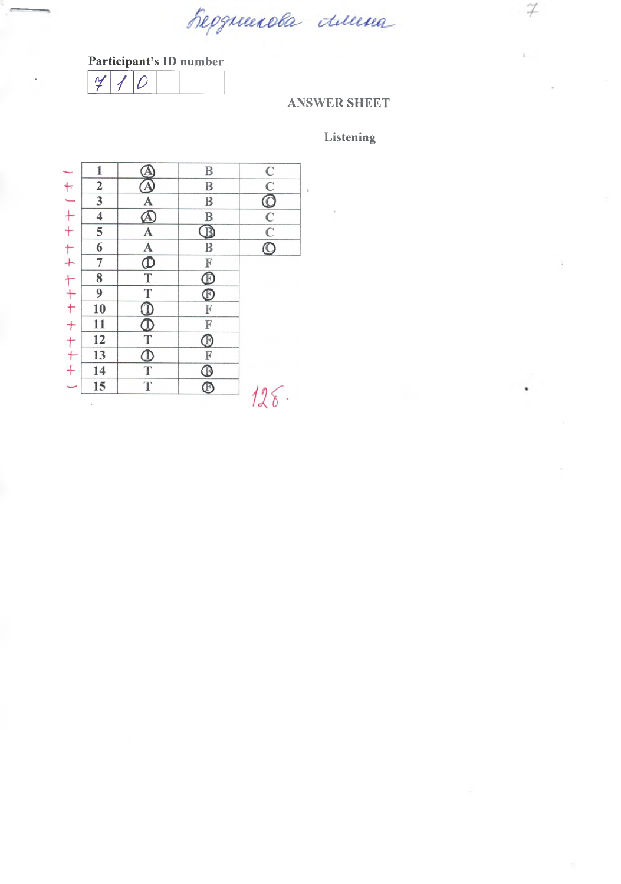Reponenda tuma

r / *<sup>0</sup>* **Participant's ID number**

### **ANSWER SHEET**

### **Listening**

 $\boldsymbol{\not\! \! \! Z}$ 

|                   | 1                       | Ą                                                                              | $\, {\bf B}$                                             |               |
|-------------------|-------------------------|--------------------------------------------------------------------------------|----------------------------------------------------------|---------------|
|                   | $\overline{\mathbf{c}}$ | $\Delta$                                                                       | $\mathbf B$                                              |               |
|                   | 3                       | $\overline{A}$                                                                 | $\mathbf B$                                              |               |
|                   | $\overline{\mathbf{4}}$ | $\bar{\mathbf{\Delta}}$                                                        | $\, {\bf B}$                                             |               |
|                   | 5                       |                                                                                | $\overline{\mathbb{B}}$                                  |               |
|                   | $\overline{6}$          | $\frac{A}{A}$                                                                  | $\overline{B}$                                           | $\frac{1}{2}$ |
|                   | 7                       |                                                                                |                                                          |               |
|                   | 8                       |                                                                                | FOOF                                                     |               |
|                   | 9                       |                                                                                |                                                          |               |
|                   | 10                      |                                                                                |                                                          |               |
|                   | 11                      |                                                                                | $\mathbb F$                                              |               |
|                   | 12                      |                                                                                |                                                          |               |
|                   | 13                      |                                                                                |                                                          |               |
| ヤーナナ ヤナ ヤナナ ナナナチー | 14                      | $T$<br>$\overline{O}$<br>$T$<br>$\overline{O}$<br>$T$<br>$\overline{O}$<br>$T$ |                                                          |               |
|                   | 15                      | $\overline{T}$                                                                 | $\bigoplus_{\mathcal{T}}\frac{\mathcal{L}}{\mathcal{D}}$ |               |
|                   |                         |                                                                                |                                                          |               |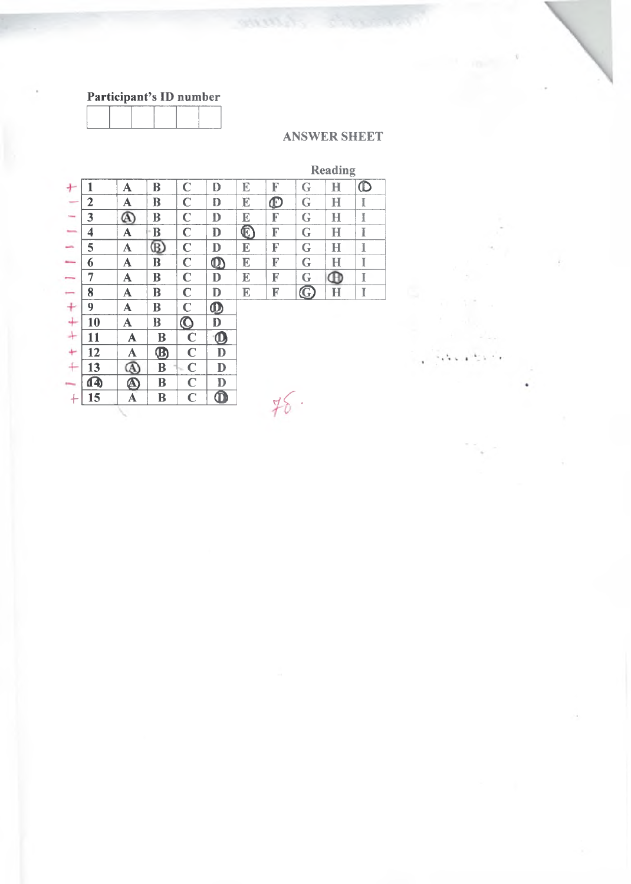

### **ANSWER SHEET**

# Reading

| ÷                        | 1                       | A           | B                    | $\mathbf C$       | D                         | $\mathbb E$               | F                 | G           | $\bf H$                     | $\mathbb O$ |
|--------------------------|-------------------------|-------------|----------------------|-------------------|---------------------------|---------------------------|-------------------|-------------|-----------------------------|-------------|
| $\overline{\phantom{a}}$ | $\mathbf{2}$            | A           | B                    | $\mathbf C$       | D                         | $\mathbb E$               | $\bm{\mathbb{D}}$ | $\mathbf G$ | $\bf H$                     | $\mathbb I$ |
| <b>Total</b>             | 3                       | ⋒           | B                    | $\mathbf C$       | $\mathbf D$               | $\mathbb E$               | F                 | G           | $\mathbf H$                 | I           |
| -                        | $\overline{\mathbf{4}}$ | A           | B                    | $\mathbf C$       | D                         | $\boldsymbol{\mathbb{C}}$ | F                 | G           | $\bf H$                     | I           |
| ÷                        | 5                       | A           | $^\text{\tiny{(B)}}$ | $\mathbf C$       | $\mathbf D$               | $\mathbb E$               | F                 | $\mathbf G$ | H                           | I           |
| <b>Brown</b>             | 6                       | $\mathbf A$ | B                    | $\mathbf C$       | $\boldsymbol{\mathbb{O}}$ | E                         | F                 | G           | H                           | I           |
| -                        | 7                       | A           | B                    | $\mathbf C$       | $\mathbf D$               | E                         | F                 | G           | $^\mathrm{\textregistered}$ | I           |
| $\overline{\phantom{a}}$ | 8                       | A           | B                    | $\mathbf C$       | $\mathbf D$               | E                         | F                 | $\bf G$     | H                           | I           |
| $\ddot{}$                | 9                       | A           | B                    | $\mathbf C$       | $\boldsymbol{\Phi}$       |                           |                   |             |                             |             |
| $^{+}$                   | 10                      | A           | B                    | $\bm{\mathsf{O}}$ | D                         |                           |                   |             |                             |             |
| $\ddot{}$                | 11                      | ${\bf A}$   | B                    | $\mathbf C$       | $\boldsymbol{\mathbb{O}}$ |                           |                   |             |                             |             |
| ÷                        | 12                      | A           | $\bm{\mathfrak{B}}$  | $\mathbf C$       | D                         |                           |                   |             |                             |             |
| $+$                      | 13                      |             | B                    | $\mathbf C$       | ${\bf D}$                 |                           |                   |             |                             |             |
|                          | $\mathbf{A}$            | $\bf \Phi$  | B                    | $\mathbf C$       | D                         |                           |                   |             |                             |             |
|                          | 15                      | $\mathbf A$ | B                    | $\mathbf C$       | $\overline{\mathbf{O}}$   |                           |                   |             |                             |             |
|                          |                         |             |                      |                   |                           |                           |                   |             |                             |             |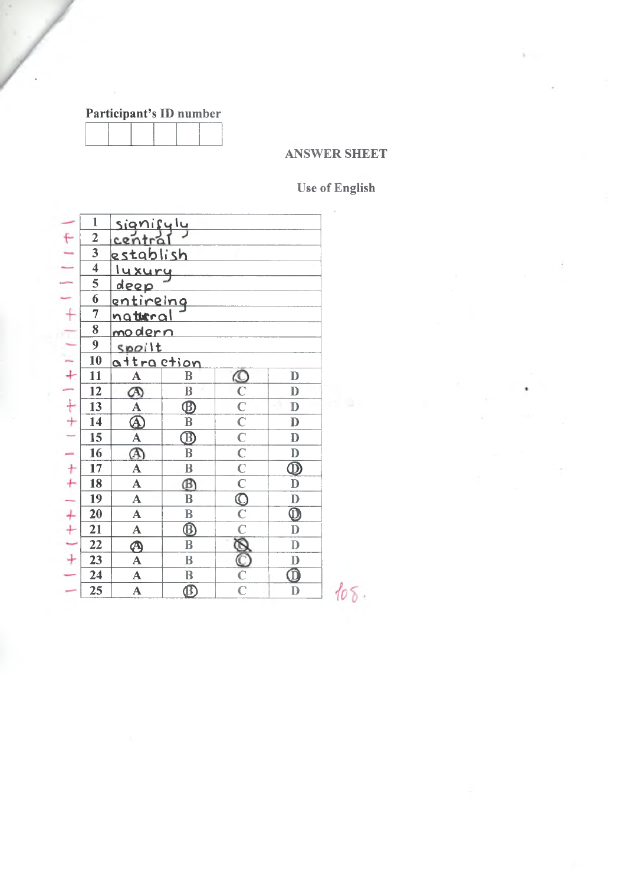### **ANSWER SHEET**

# **Use of English**

|                | $\mathbf{1}$            |                                        |                                     |                         |                                         |      |
|----------------|-------------------------|----------------------------------------|-------------------------------------|-------------------------|-----------------------------------------|------|
|                | $\overline{2}$          | signifyly<br>central                   |                                     |                         |                                         |      |
| $+ 1 - 1 +$    | 3                       | establish                              |                                     |                         |                                         |      |
|                | $\overline{\mathbf{4}}$ |                                        |                                     |                         |                                         |      |
|                | 5                       | luxury<br>deep                         |                                     |                         |                                         |      |
|                | 6                       |                                        |                                     |                         |                                         |      |
| $+$            | $\overline{7}$          | entireing<br>natural                   |                                     |                         |                                         |      |
|                | 8                       | <u>modern</u>                          |                                     |                         |                                         |      |
|                | $\overline{9}$          | spoilt                                 |                                     |                         |                                         |      |
| $\frac{1}{2}$  | 10                      | <u>attraction</u>                      |                                     |                         |                                         |      |
|                | 11                      | ${\bf A}$                              | B                                   |                         | $\mathbf{D}$                            |      |
|                | 12                      | $\varnothing$                          | $\, {\bf B}$                        |                         | $\mathbf{D}$                            |      |
|                | 13                      | $\frac{\overline{A}}{\overline{\Phi}}$ | $\overline{\mathbf{\oplus}}$        |                         | $\mathbf{D}$                            |      |
|                | 14                      |                                        | $\bf{B}$                            |                         | $\mathbf D$                             |      |
|                | 15                      | $\overline{A}$                         | $\overline{\mathbb{B}}$             | $rac{C}{C}$ $rac{C}{C}$ | $\mathbf{D}$                            |      |
|                | 16                      |                                        | $\bf{B}$                            |                         | $\mathbf{D}$                            |      |
|                | 17                      | $\overline{\mathbf{A}}$                | $\, {\bf B}$                        |                         | $\frac{\textcircled{\bf{D}}}{\text{D}}$ |      |
|                | 18                      | $\overline{\mathbf{A}}$                | $^{\circledR}$                      |                         |                                         |      |
|                | 19                      | $\overline{\mathbf{A}}$                | $\bf{B}$                            |                         | $\mathbb D$                             |      |
|                | 20                      | $\mathbf{A}$                           | $\, {\bf B}$                        |                         | $\overline{\mathbf{D}}$                 |      |
|                | 21                      | $\mathbf A$                            | $\overline{\textcircled{\tiny{D}}}$ |                         | $\mathbf{D}$                            |      |
|                | 22                      | $\hat{\mathbf{\Theta}}$                | B                                   |                         | $\mathbb D$                             |      |
| トナー ニナナ ニナナーナー | 23                      | $\mathbf{A}$                           | $\, {\bf B}$                        | $\frac{1}{\sqrt{2}}$    | $\mathbf{D}$                            |      |
|                | 24                      | $\mathbf{A}$                           | $\, {\bf B}$                        |                         | $\overline{\mathbf{0}}$                 |      |
|                | 25                      | $\mathbf{A}$                           | $\overline{\mathfrak{B}}$           |                         | D                                       | 108. |
|                |                         |                                        |                                     |                         |                                         |      |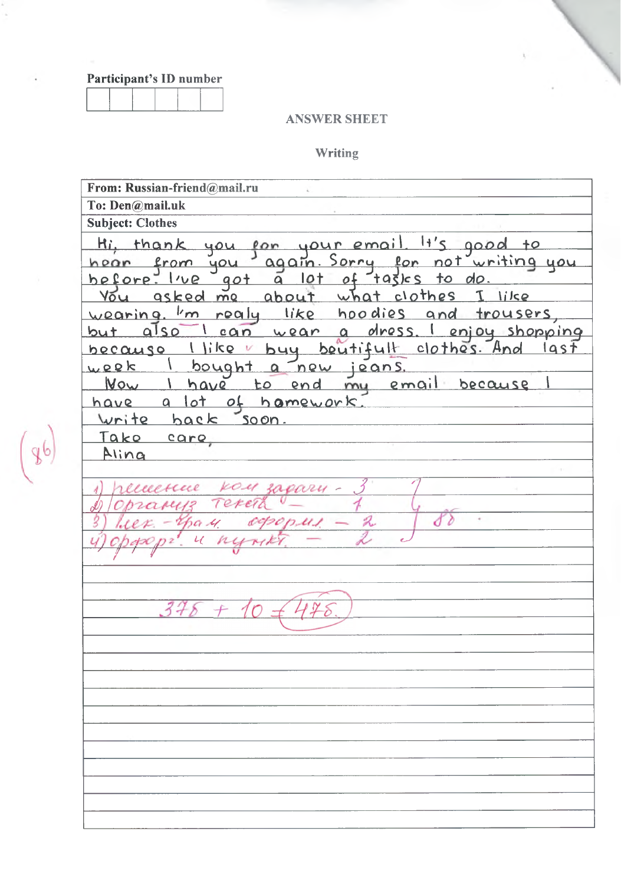#### **ANSWER SHEET**

#### Writing

From: Russian-friend@mail.ru To: Den@mail.uk **Subject: Clothes** thank you your email  $11'5$ <u>Hi,</u> pon  $0000$  $+$ o Sorry for not writing you hear from you  $aqain.$ before. I've  $10<sub>+</sub>$ tasics to do got  $\overline{a}$ what clothes asked me  $\mathcal{I}$ like You about I'm roaly like hoodies wearing. and trousers can wear a dress. I enjoy shopping but also  $\mathcal{L}$ buy beutifult clothes. And  $\left\{\right\}$  like  $l$ ast because bought a new jeans.  $w$ eek I have to end my email Wow because of hamework <u>have a lot</u> write back soon. Take care Aling  $k$ ou excue agary Teren 88  $375 + 10$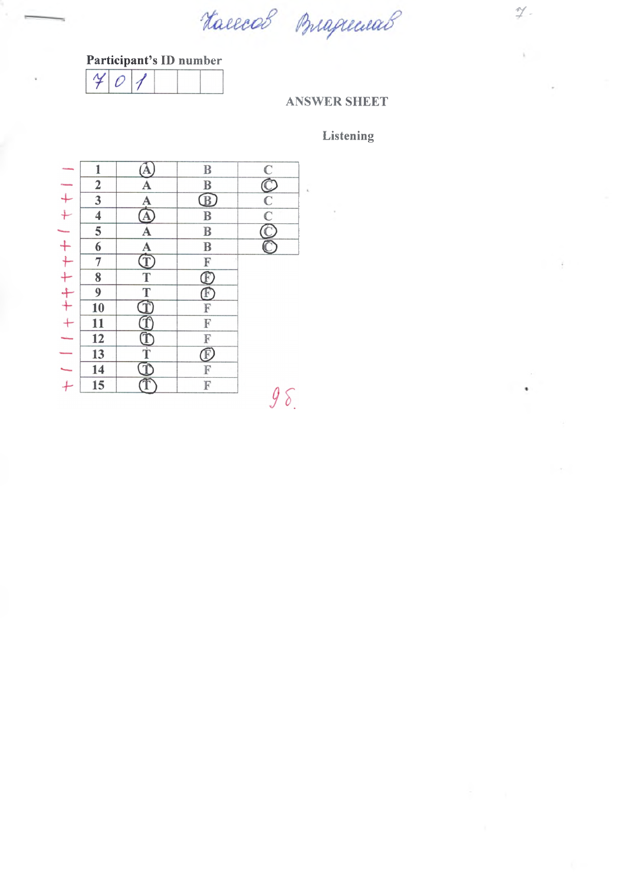Haeecol Buguewal

 $\hat{h}$ 

### **Participant's ID number**



### **ANSWER SHEET**

### **Listening**

|               | 1                       |                | $\mathbb B$                     |               |
|---------------|-------------------------|----------------|---------------------------------|---------------|
|               | $\overline{\mathbf{c}}$ | A              | $\mathbf B$                     |               |
|               | $\overline{\mathbf{3}}$ |                |                                 |               |
|               | 4                       | $\frac{A}{A}$  | $\frac{\text{B}}{\text{B}}$     | $\frac{C}{C}$ |
|               | 5                       | A              | $\mathbf B$                     |               |
|               | 6                       |                | $\bf{B}$                        |               |
|               | 7                       | A<br>Î         | $\mathbb{F}$                    |               |
|               | 8                       | $\overline{T}$ |                                 |               |
|               | 9                       | $\frac{1}{1}$  | E<br>E<br>E                     |               |
|               | 10                      |                | $\overline{\mathbb{F}}$         |               |
|               | 11                      |                | $\frac{\mathbb{F}}{\mathbb{F}}$ |               |
|               | 12                      | <b>FULT</b>    |                                 |               |
|               | 13                      |                | $\bar{\mathbb{F}}$              |               |
| $\frac{1}{1}$ | 14                      | Ī              | F                               |               |
|               | 15                      |                | $\overline{\mathbb{F}}$         |               |
|               |                         |                |                                 |               |

 $y_{\delta}$ 

¥

 $\ddot{\phantom{0}}$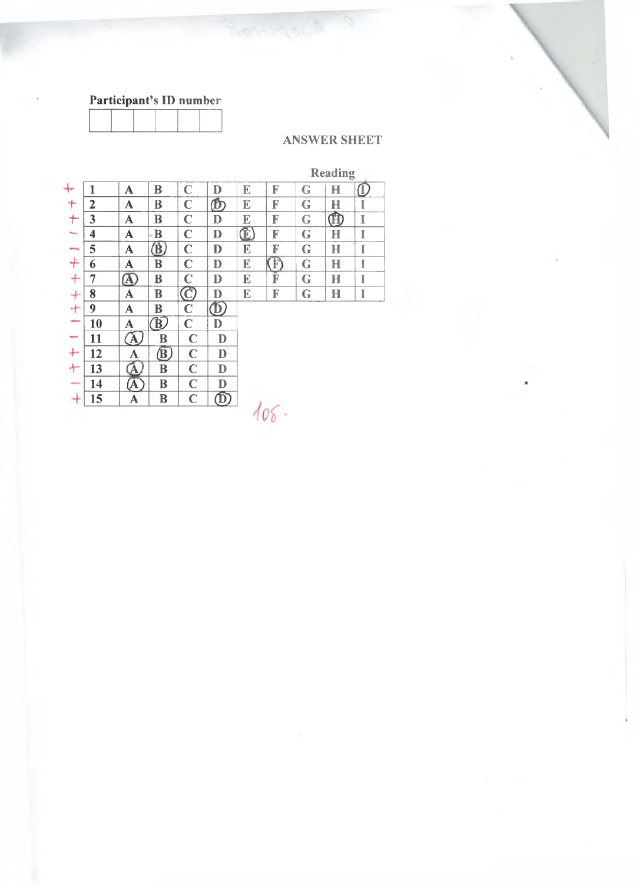

### **ANSWER SHEET**

# Reading

| ╄              | 1            | A                                       | B                      | $\mathbf C$ | D                       | E | F  | G           | $\bf H$     | $\overline{\mathbb{O}}$ |
|----------------|--------------|-----------------------------------------|------------------------|-------------|-------------------------|---|----|-------------|-------------|-------------------------|
| ÷              | $\mathbf{2}$ | A                                       | B                      | $\mathbf C$ | ௹                       | E | F  | $\mathbf G$ | $\mathbf H$ | I                       |
| $\ddagger$     | 3            | A                                       | B                      | $\mathbf C$ | $\mathbf{D}$            | E | F  | G           | $\bf \Phi$  | I                       |
|                | 4            | $\mathbf A$                             | - B                    | $\mathbf C$ | $\mathbf{D}$            | ¢ | F  | G           | $\mathbf H$ | I                       |
|                | 5            | A                                       | $\bf (\bar B)$         | $\mathbf C$ | $\mathbf{D}$            | E | F  | G           | H           | I                       |
|                | 6            | A                                       | B                      | $\mathbf C$ | $\mathbf{D}$            | E | F) | G           | н           | I                       |
|                | 7            | $\, \underline{\alpha} \,$              | B                      | $\mathbf C$ | $\mathbf{D}$            | E | F  | G           | $\bf H$     | I                       |
| 1 一キ ナ ナ ナ ナ ー | 8            | A                                       | B                      | $\bigcirc$  | $\mathbf D$             | E | F  | G           | H           | I                       |
|                | 9            | A                                       | B                      | $\mathbf C$ | $\Phi$                  |   |    |             |             |                         |
|                | 10           | A                                       | $\widehat{\mathbf{B}}$ | $\mathbf C$ | D                       |   |    |             |             |                         |
|                | 11           | $\hat{\mathbf{\mathbf{\Delta}}}^\prime$ | B                      | $\mathbf C$ | D                       |   |    |             |             |                         |
| $\pm$          | 12           | A                                       | $\circledB$            | $\mathbf C$ | $\mathbf{D}$            |   |    |             |             |                         |
|                | 13           | A,                                      | B                      | $\mathbf C$ | D                       |   |    |             |             |                         |
|                | 14           | (A                                      | B                      | $\mathbf C$ | $\mathbf{D}$            |   |    |             |             |                         |
| $+$ $ +$       | 15           | A                                       | B                      | $\mathbf C$ | $\overline{\mathbb{D}}$ |   |    |             |             |                         |
|                |              |                                         |                        |             |                         |   |    |             |             |                         |
|                |              |                                         |                        |             |                         |   |    |             |             |                         |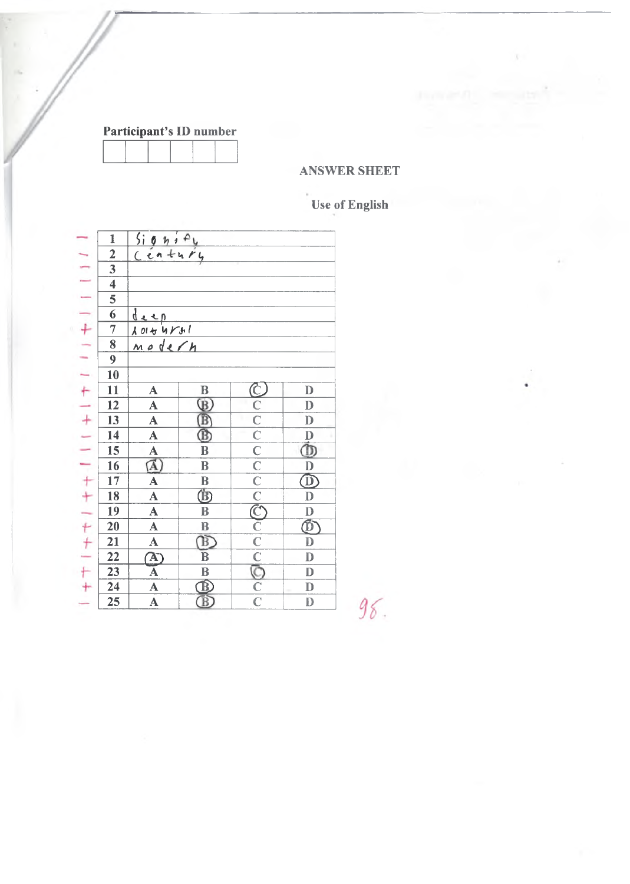### **ANSWER SHEET**

# Use of English

|                                   | $\mathbbm{1}$                                         |                                                 |                                                                                                                                                                                                   |                    |                         |
|-----------------------------------|-------------------------------------------------------|-------------------------------------------------|---------------------------------------------------------------------------------------------------------------------------------------------------------------------------------------------------|--------------------|-------------------------|
|                                   |                                                       | $\frac{5i\theta h/PU}{Cen+urly}$                |                                                                                                                                                                                                   |                    |                         |
|                                   | $\frac{2}{3}$                                         |                                                 |                                                                                                                                                                                                   |                    |                         |
|                                   | $\overline{4}$                                        |                                                 |                                                                                                                                                                                                   |                    |                         |
|                                   |                                                       |                                                 |                                                                                                                                                                                                   |                    |                         |
|                                   |                                                       |                                                 |                                                                                                                                                                                                   |                    |                         |
|                                   | $\frac{5}{6}$ $\frac{6}{7}$ $\frac{7}{8}$             | $\frac{\frac{d}{d}x}{\frac{1}{d}x+\frac{d}{d}}$ |                                                                                                                                                                                                   |                    |                         |
|                                   |                                                       |                                                 |                                                                                                                                                                                                   |                    |                         |
|                                   | $\overline{9}$                                        |                                                 |                                                                                                                                                                                                   |                    |                         |
|                                   | 10                                                    |                                                 |                                                                                                                                                                                                   |                    |                         |
|                                   | $\overline{11}$                                       | $\triangle$                                     |                                                                                                                                                                                                   |                    | $\mathbf D$             |
|                                   |                                                       |                                                 |                                                                                                                                                                                                   |                    | $\mathbf{D}$            |
|                                   | $\frac{12}{13}$                                       |                                                 |                                                                                                                                                                                                   |                    | $\mathbf{D}$            |
|                                   | $\overline{14}$                                       | $\frac{\mathbf{A}}{\mathbf{A}}$                 | $\begin{array}{c c c c c} \hline \mathbf{B} & \mathbf{B} & \mathbf{B} \\ \hline \hline \mathbf{B} & \mathbf{B} & \mathbf{B} \\ \hline \mathbf{B} & \mathbf{B} & \mathbf{B} \\ \hline \end{array}$ |                    | $\frac{D}{D}$           |
|                                   | $\overline{15}$                                       | $\frac{\overline{A}}{\overline{A}}$             |                                                                                                                                                                                                   |                    |                         |
|                                   | $\overline{16}$                                       |                                                 |                                                                                                                                                                                                   |                    |                         |
|                                   | 17                                                    |                                                 |                                                                                                                                                                                                   |                    |                         |
|                                   | $\overline{18}$                                       | $\overline{\mathbf{A}}$                         |                                                                                                                                                                                                   |                    |                         |
|                                   | $\overline{19}$                                       | $\overline{\mathbf{A}}$                         |                                                                                                                                                                                                   |                    |                         |
|                                   | $\overline{20}$                                       | $\overline{\mathbf{A}}$                         | $\overline{\mathbf{B}}$                                                                                                                                                                           |                    |                         |
|                                   |                                                       |                                                 |                                                                                                                                                                                                   |                    | $\frac{D}{D}$           |
| <b>I ニーーーナー ニートーナー ニーナナードナートナ</b> | $\frac{21}{22}$<br>$\frac{23}{24}$<br>$\frac{24}{25}$ | $\frac{A}{A}$ $\frac{A}{A}$                     | $\frac{1}{\frac{B}{B}}$                                                                                                                                                                           | cococococococococo | $\overline{\mathbf{D}}$ |
|                                   |                                                       |                                                 |                                                                                                                                                                                                   |                    | $\overline{\mathbf{D}}$ |
|                                   |                                                       |                                                 |                                                                                                                                                                                                   |                    | $\overline{\mathbf{D}}$ |
|                                   |                                                       |                                                 | $\frac{\text{B}}{\text{B}}$                                                                                                                                                                       |                    | D                       |
|                                   |                                                       |                                                 |                                                                                                                                                                                                   |                    |                         |

 $96.$